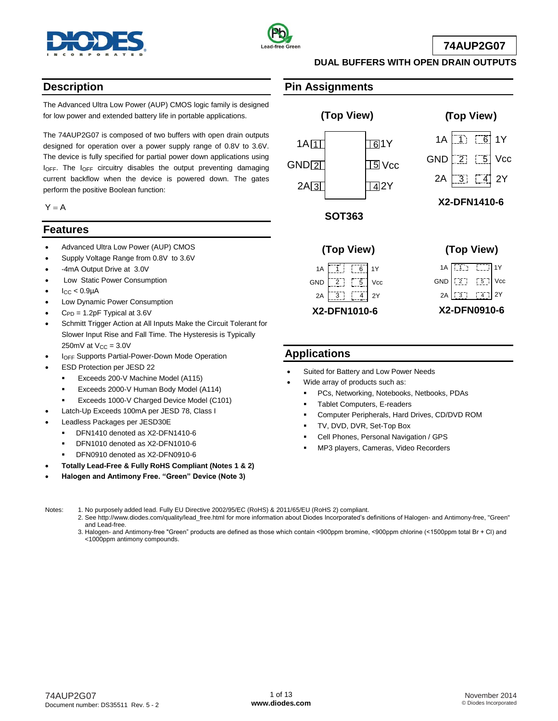



**74AUP2G07**

## **Description**

The Advanced Ultra Low Power (AUP) CMOS logic family is designed for low power and extended battery life in portable applications.

The 74AUP2G07 is composed of two buffers with open drain outputs designed for operation over a power supply range of 0.8V to 3.6V. The device is fully specified for partial power down applications using IOFF. The IOFF circuitry disables the output preventing damaging current backflow when the device is powered down. The gates perform the positive Boolean function:

 $Y = A$ 

### **Features**

- Advanced Ultra Low Power (AUP) CMOS
- Supply Voltage Range from 0.8V to 3.6V
- -4mA Output Drive at 3.0V
- Low Static Power Consumption
- $I_{CC}$  < 0.9 $\mu$ A
- Low Dynamic Power Consumption
- $C_{PD} = 1.2pF$  Typical at 3.6V
- Schmitt Trigger Action at All Inputs Make the Circuit Tolerant for Slower Input Rise and Fall Time. The Hysteresis is Typically 250mV at  $V_{CC} = 3.0V$
- IOFF Supports Partial-Power-Down Mode Operation
- ESD Protection per JESD 22
	- Exceeds 200-V Machine Model (A115)
	- Exceeds 2000-V Human Body Model (A114)
	- Exceeds 1000-V Charged Device Model (C101)
- Latch-Up Exceeds 100mA per JESD 78, Class I
- Leadless Packages per JESD30E
	- DFN1410 denoted as X2-DFN1410-6
	- DFN1010 denoted as X2-DFN1010-6
	- DFN0910 denoted as X2-DFN0910-6
- **Totally Lead-Free & Fully RoHS Compliant (Notes 1 & 2)**
- **Halogen and Antimony Free. "Green" Device (Note 3)**

### **Pin Assignments**



**DUAL BUFFERS WITH OPEN DRAIN OUTPUTS**





### **Applications**

- Suited for Battery and Low Power Needs
- Wide array of products such as:
	- PCs, Networking, Notebooks, Netbooks, PDAs
	- Tablet Computers, E-readers
	- Computer Peripherals, Hard Drives, CD/DVD ROM
	- TV, DVD, DVR, Set-Top Box
	- Cell Phones, Personal Navigation / GPS
	- MP3 players, Cameras, Video Recorders

Notes: 1. No purposely added lead. Fully EU Directive 2002/95/EC (RoHS) & 2011/65/EU (RoHS 2) compliant.

- 2. See [http://www.diodes.com/quality/lead\\_free.html](http://www.diodes.com/quality/lead_free.html) for more information about Diodes Incorporated's definitions of Halogen- and Antimony-free, "Green" and Lead-free.
	- 3. Halogen- and Antimony-free "Green" products are defined as those which contain <900ppm bromine, <900ppm chlorine (<1500ppm total Br + Cl) and <1000ppm antimony compounds.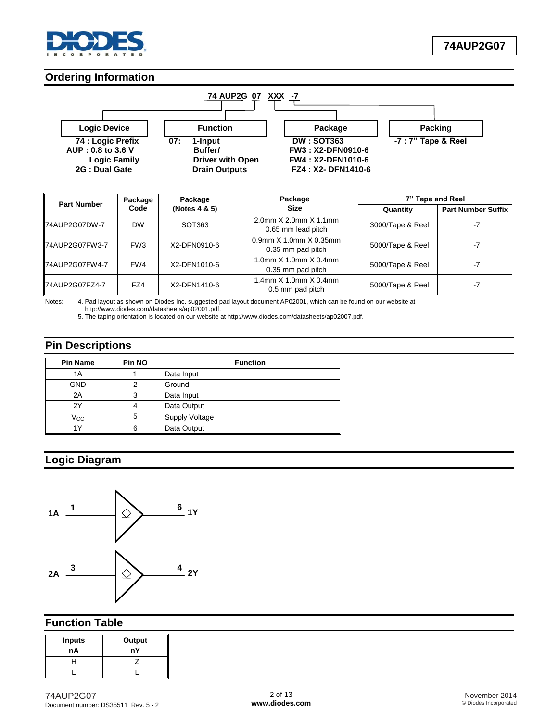

### **Ordering Information**



| <b>Part Number</b> | Package         | Package       | Package                                     | 7" Tape and Reel |                           |  |
|--------------------|-----------------|---------------|---------------------------------------------|------------------|---------------------------|--|
|                    | Code            | (Notes 4 & 5) | <b>Size</b>                                 | Quantity         | <b>Part Number Suffix</b> |  |
| 74AUP2G07DW-7      | <b>DW</b>       | SOT363        | 2.0mm X 2.0mm X 1.1mm<br>0.65 mm lead pitch | 3000/Tape & Reel | -7                        |  |
| 74AUP2G07FW3-7     | FW <sub>3</sub> | X2-DFN0910-6  | 0.9mm X 1.0mm X 0.35mm<br>0.35 mm pad pitch | 5000/Tape & Reel | -7                        |  |
| 74AUP2G07FW4-7     | FW4             | X2-DFN1010-6  | 1.0mm X 1.0mm X 0.4mm<br>0.35 mm pad pitch  | 5000/Tape & Reel | -7                        |  |
| 74AUP2G07FZ4-7     | FZ4             | X2-DFN1410-6  | 1.4mm X 1.0mm X 0.4mm<br>0.5 mm pad pitch   | 5000/Tape & Reel | -7                        |  |

Notes: 4. Pad layout as shown on Diodes Inc. suggested pad layout document AP02001, which can be found on our website at

 [http://www.diodes.com/datasheets/ap02001.pdf.](http://www.diodes.com/datasheets/ap02001.pdf) 5. The taping orientation is located on our website at [http://www.diodes.com/datasheets/ap02007.pdf.](http://www.diodes.com/datasheets/ap02007.pdf)

**Pin Descriptions**

| <b>Pin Name</b> | Pin NO | <b>Function</b> |  |  |  |  |  |
|-----------------|--------|-----------------|--|--|--|--|--|
| 1A              |        | Data Input      |  |  |  |  |  |
| <b>GND</b>      | ⌒      | Ground          |  |  |  |  |  |
| 2A              | 3      | Data Input      |  |  |  |  |  |
| 2Y              |        | Data Output     |  |  |  |  |  |
| Vcc             | 5      | Supply Voltage  |  |  |  |  |  |
| 1Y              | 6      | Data Output     |  |  |  |  |  |

# **Logic Diagram**



### **Function Table**

| <b>Inputs</b> | Output |
|---------------|--------|
| nA            | nY     |
|               |        |
|               |        |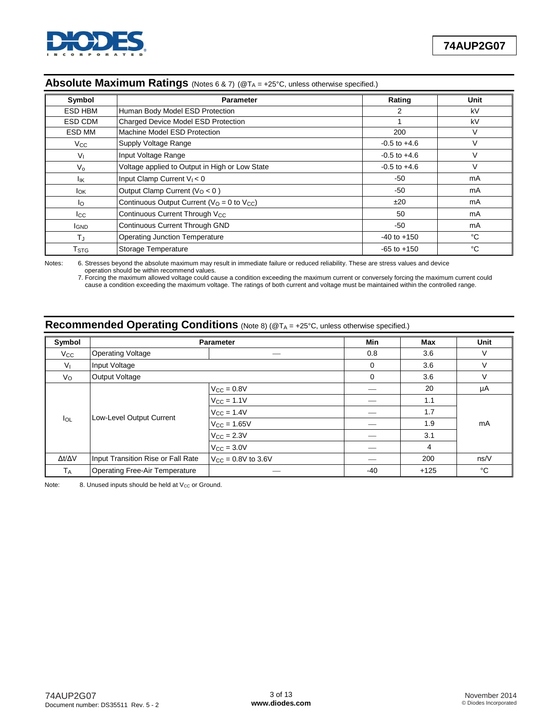

| Symbol             | <b>Parameter</b>                                | Rating           | <b>Unit</b> |
|--------------------|-------------------------------------------------|------------------|-------------|
| ESD HBM            | Human Body Model ESD Protection                 | 2                | kV          |
| ESD CDM            | Charged Device Model ESD Protection             |                  | kV          |
| ESD MM             | Machine Model ESD Protection                    | 200              | $\vee$      |
| $V_{\rm CC}$       | Supply Voltage Range                            | $-0.5$ to $+4.6$ | $\vee$      |
| V <sub>L</sub>     | Input Voltage Range                             | $-0.5$ to $+4.6$ | $\vee$      |
| $V_{\Omega}$       | Voltage applied to Output in High or Low State  | $-0.5$ to $+4.6$ | $\vee$      |
| lικ                | Input Clamp Current $V_1 < 0$                   | $-50$            | mA          |
| Iок                | Output Clamp Current ( $VO < 0$ )               | $-50$            | mA          |
| lo.                | Continuous Output Current ( $VO = 0$ to $VCC$ ) | ±20              | mA          |
| Icc                | Continuous Current Through V <sub>CC</sub>      | 50               | mA          |
| <b>I</b> GND       | Continuous Current Through GND                  | $-50$            | mA          |
| TJ                 | <b>Operating Junction Temperature</b>           | $-40$ to $+150$  | °C          |
| $T_{\mathsf{STG}}$ | Storage Temperature                             | $-65$ to $+150$  | °C          |

### Absolute Maximum Ratings (Notes 6 & 7) (@T<sub>A</sub> = +25°C, unless otherwise specified.)

Notes: 6. Stresses beyond the absolute maximum may result in immediate failure or reduced reliability. These are stress values and device operation should be within recommend values.

7. Forcing the maximum allowed voltage could cause a condition exceeding the maximum current or conversely forcing the maximum current could cause a condition exceeding the maximum voltage. The ratings of both current and voltage must be maintained within the controlled range.

| Symbol              |                                       | Parameter               | Min   | <b>Max</b> | Unit |  |
|---------------------|---------------------------------------|-------------------------|-------|------------|------|--|
| $V_{\rm CC}$        | <b>Operating Voltage</b>              |                         | 0.8   | 3.6        | V    |  |
| $V_{I}$             | Input Voltage                         |                         | 0     | 3.6        | ٧    |  |
| $V_{\rm O}$         | <b>Output Voltage</b>                 |                         | 0     | 3.6        | V    |  |
|                     |                                       | $V_{CC} = 0.8V$         |       | 20         | μA   |  |
|                     |                                       | $V_{CC}$ = 1.1V         |       | 1.1        |      |  |
|                     |                                       | $V_{\rm CC} = 1.4V$     |       | 1.7        |      |  |
| $I_{OL}$            | Low-Level Output Current              | $V_{\rm CC} = 1.65V$    |       | 1.9        | mA   |  |
|                     |                                       | $V_{\rm CC} = 2.3V$     |       | 3.1        |      |  |
|                     |                                       | $V_{\text{CC}} = 3.0V$  |       | 4          |      |  |
| $\Delta t/\Delta V$ | Input Transition Rise or Fall Rate    | $V_{CC} = 0.8V$ to 3.6V |       | 200        | ns/V |  |
| <b>TA</b>           | <b>Operating Free-Air Temperature</b> |                         | $-40$ | $+125$     | °C   |  |

# **Recommended Operating Conditions** (Note 8) (@TA = +25°C, unless otherwise specified.)

Note: 8. Unused inputs should be held at  $V_{CC}$  or Ground.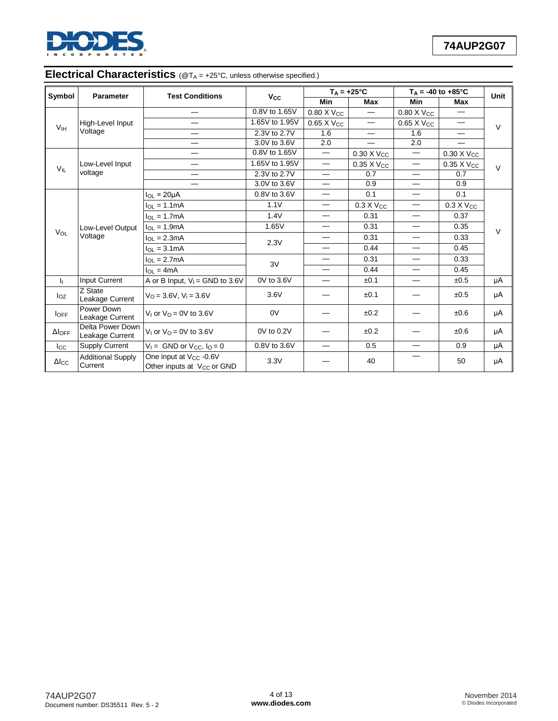

## **Electrical Characteristics** ( $@T_A = +25^\circ C$ , unless otherwise specified.)

| Symbol           | <b>Parameter</b>                    | <b>Test Conditions</b>                                                       | <b>V<sub>cc</sub></b>    |                                  | $T_A = +25^{\circ}C$     | $T_A = -40$ to $+85^{\circ}$ C |                          | Unit   |  |
|------------------|-------------------------------------|------------------------------------------------------------------------------|--------------------------|----------------------------------|--------------------------|--------------------------------|--------------------------|--------|--|
|                  |                                     |                                                                              |                          | <b>Min</b>                       | <b>Max</b>               | Min                            | Max                      |        |  |
|                  |                                     |                                                                              | 0.8V to 1.65V            | $0.80 \times V_{CC}$             |                          | $0.80 \times V_{CC}$           |                          |        |  |
| V <sub>IH</sub>  | High-Level Input                    |                                                                              | 1.65V to 1.95V           | 0.65 X Vcc                       | $\overline{\phantom{0}}$ | 0.65 X Vcc                     |                          | $\vee$ |  |
|                  | Voltage                             | $\overline{\phantom{0}}$                                                     | 2.3V to 2.7V             | 1.6                              | $\overline{\phantom{0}}$ | 1.6                            | $\overline{\phantom{0}}$ |        |  |
|                  |                                     | —                                                                            | 3.0V to 3.6V             | 2.0                              |                          | 2.0                            |                          |        |  |
|                  |                                     |                                                                              | 0.8V to 1.65V            | $\overbrace{\phantom{12322111}}$ | 0.30 X Vcc               |                                | 0.30 X Vcc               |        |  |
| $V_{IL}$         | Low-Level Input                     | —                                                                            | 1.65V to 1.95V           | $\overline{\phantom{m}}$         | 0.35 X V <sub>CC</sub>   | $\overbrace{\phantom{12333}}$  | 0.35 X V <sub>CC</sub>   | $\vee$ |  |
|                  | voltage                             |                                                                              | 2.3V to 2.7V             | $\overline{\phantom{0}}$         | 0.7                      | $\overline{\phantom{0}}$       | 0.7                      |        |  |
|                  |                                     | 3.0V to 3.6V                                                                 | $\overline{\phantom{0}}$ | 0.9                              | $\overline{\phantom{0}}$ | 0.9                            |                          |        |  |
|                  |                                     | $I_{OL}$ = 20 $\mu$ A                                                        | 0.8V to 3.6V             |                                  | 0.1                      |                                | 0.1                      |        |  |
|                  |                                     | $I_{OL} = 1.1mA$                                                             | 1.1V                     |                                  | $0.3 X V_{CC}$           | $\overline{\phantom{m}}$       | $0.3 X V_{CC}$           |        |  |
|                  |                                     | $I_{\Omega I} = 1.7 \text{mA}$                                               | 1.4V                     |                                  | 0.31                     | $\overline{\phantom{0}}$       | 0.37                     | $\vee$ |  |
|                  | Low-Level Output                    | $I_{OL} = 1.9mA$                                                             | 1.65V                    |                                  | 0.31                     | $\overline{\phantom{0}}$       | 0.35                     |        |  |
| $V_{OL}$         | Voltage                             | $I_{OL} = 2.3mA$                                                             | 2.3V                     |                                  | 0.31                     | $\overbrace{\phantom{12333}}$  | 0.33                     |        |  |
|                  |                                     | $I_{OL} = 3.1mA$                                                             |                          |                                  | 0.44                     |                                | 0.45                     |        |  |
|                  |                                     | $I_{OL} = 2.7mA$                                                             | 3V                       |                                  | 0.31                     | $\overbrace{\phantom{12333}}$  | 0.33                     |        |  |
|                  |                                     | $I_{OL} = 4mA$                                                               |                          |                                  | 0.44                     | $\overline{\phantom{0}}$       | 0.45                     |        |  |
| h.               | Input Current                       | A or B Input, $V_1 =$ GND to 3.6V                                            | 0V to 3.6V               |                                  | ±0.1                     | $\overline{\phantom{0}}$       | ±0.5                     | μA     |  |
| $I_{OZ}$         | Z State<br>Leakage Current          | $V_{\Omega} = 3.6V$ , $V_i = 3.6V$                                           | 3.6V                     |                                  | ±0.1                     |                                | ±0.5                     | μA     |  |
| <b>IOFF</b>      | Power Down<br>Leakage Current       | V <sub>1</sub> or $VO = 0V$ to 3.6V                                          | 0V                       |                                  | ±0.2                     |                                | $\pm 0.6$                | μA     |  |
| $\Delta I_{OFF}$ | Delta Power Down<br>Leakage Current | V <sub>1</sub> or $VQ = 0V$ to 3.6V                                          | 0V to 0.2V               |                                  | ±0.2                     |                                | ±0.6                     | μA     |  |
| $_{\rm lcc}$     | <b>Supply Current</b>               | $V_1 =$ GND or $V_{CC}$ , $I_Q = 0$                                          | 0.8V to 3.6V             |                                  | 0.5                      | $\overline{\phantom{0}}$       | 0.9                      | μA     |  |
| $\Delta$ Icc     | <b>Additional Supply</b><br>Current | One input at V <sub>CC</sub> -0.6V<br>Other inputs at V <sub>CC</sub> or GND | 3.3V                     |                                  | 40                       |                                | 50                       | μA     |  |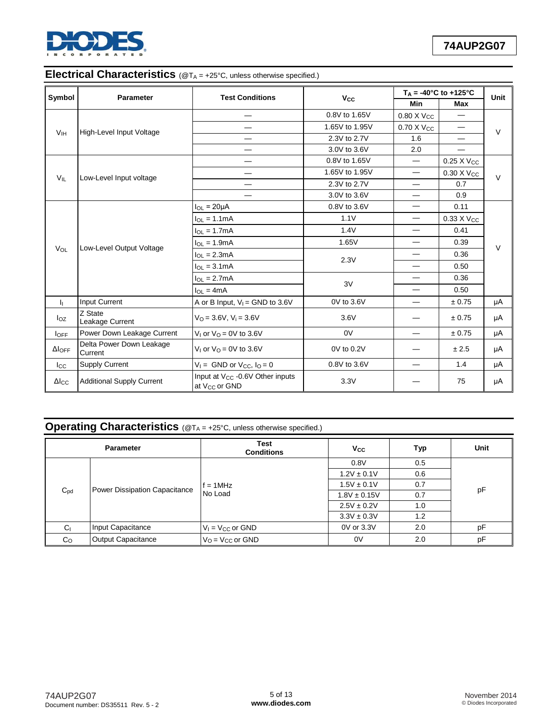

# **Electrical Characteristics** ( $@T_A = +25^\circ C$ , unless otherwise specified.)

| Symbol                    | <b>Parameter</b>                    | <b>Test Conditions</b>                                                   |                       | $T_A = -40^{\circ}C$ to $+125^{\circ}C$ |                               | Unit   |
|---------------------------|-------------------------------------|--------------------------------------------------------------------------|-----------------------|-----------------------------------------|-------------------------------|--------|
|                           |                                     |                                                                          | <b>V<sub>cc</sub></b> | Min                                     | Max                           |        |
|                           |                                     |                                                                          | 0.8V to 1.65V         | $0.80$ X Vcc                            |                               |        |
| <b>V<sub>IH</sub></b>     | High-Level Input Voltage            |                                                                          | 1.65V to 1.95V        | 0.70 X V <sub>CC</sub>                  | $\overbrace{\phantom{12333}}$ | V      |
|                           |                                     |                                                                          | 2.3V to 2.7V          | 1.6                                     | —                             |        |
|                           |                                     |                                                                          | 3.0V to 3.6V          | 2.0                                     |                               |        |
|                           |                                     | -                                                                        | 0.8V to 1.65V         | $\overbrace{\phantom{123221111}}$       | $0.25$ X $V_{CC}$             |        |
| $V_{IL}$                  | Low-Level Input voltage             | —                                                                        | 1.65V to 1.95V        | $\overbrace{\phantom{123221111}}$       | $0.30 \times V_{CC}$          | $\vee$ |
|                           |                                     | $\overbrace{\phantom{12333}}$                                            | 2.3V to 2.7V          |                                         | 0.7                           |        |
|                           |                                     |                                                                          | 3.0V to 3.6V          |                                         | 0.9                           |        |
|                           |                                     | $I_{OL}$ = 20 $\mu$ A                                                    | 0.8V to 3.6V          |                                         | 0.11                          |        |
|                           |                                     | $I_{OL} = 1.1mA$                                                         | 1.1V                  |                                         | 0.33 X V <sub>cc</sub>        |        |
|                           | Low-Level Output Voltage            | $I_{OL} = 1.7mA$                                                         | 1.4V                  | $\overline{\phantom{0}}$                | 0.41                          |        |
|                           |                                     | $I_{OL} = 1.9mA$                                                         | 1.65V                 | $\overbrace{\phantom{12333}}$           | 0.39                          |        |
| V <sub>OL</sub>           |                                     | $I_{OL} = 2.3mA$                                                         | 2.3V                  |                                         | 0.36                          | $\vee$ |
|                           |                                     | $I_{OL} = 3.1mA$                                                         |                       | —                                       | 0.50                          |        |
|                           |                                     | $I_{OL} = 2.7mA$                                                         | 3V                    |                                         | 0.36                          |        |
|                           |                                     | $I_{OL} = 4mA$                                                           |                       |                                         | 0.50                          |        |
| h.                        | Input Current                       | A or B Input, $V_1$ = GND to 3.6V                                        | 0V to 3.6V            |                                         | ± 0.75                        | μA     |
| $I_{OZ}$                  | Z State<br>Leakage Current          | $VO = 3.6V, Vi = 3.6V$                                                   | 3.6V                  |                                         | ± 0.75                        | μA     |
| loff                      | Power Down Leakage Current          | $V_1$ or $V_0 = 0V$ to 3.6V                                              | 0V                    |                                         | ± 0.75                        | μA     |
| $\Delta I$ <sub>OFF</sub> | Delta Power Down Leakage<br>Current | V <sub>1</sub> or $V0 = 0V$ to 3.6V                                      | 0V to 0.2V            |                                         | ± 2.5                         | μA     |
| $_{\rm lcc}$              | <b>Supply Current</b>               | $V_1 =$ GND or $V_{CC}$ , $I_0 = 0$                                      | 0.8V to 3.6V          |                                         | 1.4                           | μA     |
| $\Delta$ Icc              | <b>Additional Supply Current</b>    | Input at V <sub>CC</sub> -0.6V Other inputs<br>at V <sub>CC</sub> or GND | 3.3V                  |                                         | 75                            | μA     |

# **Operating Characteristics** (@T<sub>A</sub> = +25°C, unless otherwise specified.)

|                | <b>Parameter</b>              | <b>Test</b><br><b>Conditions</b>      | $V_{\rm CC}$     | Typ | Unit |  |
|----------------|-------------------------------|---------------------------------------|------------------|-----|------|--|
|                |                               |                                       | 0.8V             | 0.5 |      |  |
|                |                               |                                       | $1.2V \pm 0.1V$  | 0.6 | pF   |  |
|                | Power Dissipation Capacitance | $f = 1$ MHz                           | $1.5V \pm 0.1V$  | 0.7 |      |  |
| $C_{\rm pd}$   |                               | No Load                               | $1.8V \pm 0.15V$ | 0.7 |      |  |
|                |                               |                                       | $2.5V \pm 0.2V$  | 1.0 |      |  |
|                |                               |                                       | $3.3V \pm 0.3V$  | 1.2 |      |  |
| C <sub>1</sub> | Input Capacitance             | $V_1 = V_{CC}$ or GND                 | 0V or 3.3V       | 2.0 | pF   |  |
| C <sub>O</sub> | <b>Output Capacitance</b>     | $V_{\Omega}$ = $V_{\text{CC}}$ or GND | 0V               | 2.0 | pF   |  |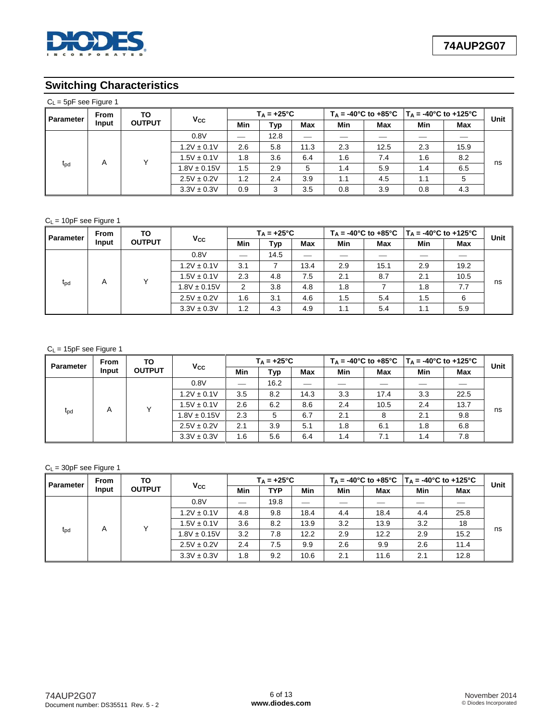

# **Switching Characteristics**

| $C_L$ = 5pF see Figure 1 |             |                     |                  |                      |      |      |     |      |                                                                                                 |      |      |  |  |
|--------------------------|-------------|---------------------|------------------|----------------------|------|------|-----|------|-------------------------------------------------------------------------------------------------|------|------|--|--|
| Parameter                | <b>From</b> | ΤО<br><b>OUTPUT</b> | Vcc              | $T_A = +25^{\circ}C$ |      |      |     |      | $T_A = -40^{\circ}$ C to $+85^{\circ}$ C   T <sub>A</sub> = $-40^{\circ}$ C to $+125^{\circ}$ C |      | Unit |  |  |
|                          | Input       |                     |                  | Min                  | Typ  | Max  | Min | Max  | Min                                                                                             | Max  |      |  |  |
|                          |             |                     | 0.8V             | --                   | 12.8 |      |     |      |                                                                                                 |      | ns   |  |  |
|                          |             |                     | $1.2V \pm 0.1V$  | 2.6                  | 5.8  | 11.3 | 2.3 | 12.5 | 2.3                                                                                             | 15.9 |      |  |  |
|                          | A           | v                   | $1.5V \pm 0.1V$  | 1.8                  | 3.6  | 6.4  | 1.6 | 7.4  | 1.6                                                                                             | 8.2  |      |  |  |
| $t_{\rm pd}$             |             |                     | $1.8V \pm 0.15V$ | 1.5                  | 2.9  | 5    | 1.4 | 5.9  | 1.4                                                                                             | 6.5  |      |  |  |
|                          |             |                     | $2.5V \pm 0.2V$  | 1.2                  | 2.4  | 3.9  | 1.1 | 4.5  | 1.1                                                                                             | 5    |      |  |  |
|                          |             |                     | $3.3V \pm 0.3V$  | 0.9                  | 3    | 3.5  | 0.8 | 3.9  | 0.8                                                                                             | 4.3  |      |  |  |

### $C_L$  = 10pF see Figure 1

| <b>Parameter</b> | From  | TO<br><b>OUTPUT</b> | <b>Vcc</b>       | $T_A = +25^{\circ}C$ |      |            |     |      | $T_A = -40^{\circ}$ C to $+85^{\circ}$ C   T <sub>A</sub> = -40°C to +125°C |      | Unit |
|------------------|-------|---------------------|------------------|----------------------|------|------------|-----|------|-----------------------------------------------------------------------------|------|------|
|                  | Input |                     |                  | Min                  | Typ  | <b>Max</b> | Min | Max  | Min                                                                         | Max  |      |
|                  |       |                     | 0.8V             |                      | 14.5 |            |     |      |                                                                             |      |      |
|                  |       |                     | $1.2V \pm 0.1V$  | 3.1                  |      | 13.4       | 2.9 | 15.1 | 2.9                                                                         | 19.2 | ns   |
|                  | A     |                     | $1.5V \pm 0.1V$  | 2.3                  | 4.8  | 7.5        | 2.1 | 8.7  | 2.1                                                                         | 10.5 |      |
| $t_{\rm{pd}}$    |       |                     | $1.8V \pm 0.15V$ | 2                    | 3.8  | 4.8        | 1.8 |      | 1.8                                                                         | 7.7  |      |
|                  |       |                     | $2.5V \pm 0.2V$  | 1.6                  | 3.1  | 4.6        | 1.5 | 5.4  | 1.5                                                                         | 6    |      |
|                  |       |                     | $3.3V \pm 0.3V$  | 1.2                  | 4.3  | 4.9        | 1.1 | 5.4  | 1.1                                                                         | 5.9  |      |

### $C_L = 15pF$  see Figure 1

| <b>Parameter</b> | <b>From</b> | TO<br><b>OUTPUT</b> | $V_{\rm CC}$     | $T_A = +25^{\circ}C$ |      |      |            |      | $T_A = -40^{\circ}$ C to $+85^{\circ}$ C   T <sub>A</sub> = -40°C to +125°C |      | Unit |
|------------------|-------------|---------------------|------------------|----------------------|------|------|------------|------|-----------------------------------------------------------------------------|------|------|
|                  | Input       |                     |                  | Min                  | Typ  | Max  | <b>Min</b> | Max  | Min                                                                         | Max  |      |
|                  |             |                     | 0.8V             |                      | 16.2 |      |            |      |                                                                             |      |      |
|                  |             |                     | $1.2V \pm 0.1V$  | 3.5                  | 8.2  | 14.3 | 3.3        | 17.4 | 3.3                                                                         | 22.5 |      |
|                  | A           |                     | $1.5V \pm 0.1V$  | 2.6                  | 6.2  | 8.6  | 2.4        | 10.5 | 2.4                                                                         | 13.7 |      |
| $t_{\rm pd}$     |             |                     | $1.8V \pm 0.15V$ | 2.3                  | 5    | 6.7  | 2.1        | 8    | 2.1                                                                         | 9.8  | ns   |
|                  |             |                     | $2.5V \pm 0.2V$  | 2.1                  | 3.9  | 5.1  | 1.8        | 6.1  | 1.8                                                                         | 6.8  |      |
|                  |             |                     | $3.3V \pm 0.3V$  | 1.6                  | 5.6  | 6.4  | 1.4        | 7.1  | 1.4                                                                         | 7.8  |      |

### $C_L = 30pF$  see Figure 1

| <b>Parameter</b> | <b>From</b><br>Input | ΤО<br><b>OUTPUT</b> | <b>Vcc</b>       |     | $T_A = +25^{\circ}C$ |      |     |      |     | $T_A = -40^{\circ}$ C to $+85^{\circ}$ C   T <sub>A</sub> = -40°C to +125°C |      |
|------------------|----------------------|---------------------|------------------|-----|----------------------|------|-----|------|-----|-----------------------------------------------------------------------------|------|
|                  |                      |                     |                  | Min | <b>TYP</b>           | Min  | Min | Max  | Min | Max                                                                         | Unit |
|                  |                      |                     | 0.8V             |     | 19.8                 |      |     |      |     |                                                                             |      |
|                  |                      | v                   | $1.2V \pm 0.1V$  | 4.8 | 9.8                  | 18.4 | 4.4 | 18.4 | 4.4 | 25.8                                                                        | ns   |
|                  | A                    |                     | $1.5V \pm 0.1V$  | 3.6 | 8.2                  | 13.9 | 3.2 | 13.9 | 3.2 | 18                                                                          |      |
| $t_{\rm{pd}}$    |                      |                     | $1.8V \pm 0.15V$ | 3.2 | 7.8                  | 12.2 | 2.9 | 12.2 | 2.9 | 15.2                                                                        |      |
|                  |                      |                     | $2.5V \pm 0.2V$  | 2.4 | 7.5                  | 9.9  | 2.6 | 9.9  | 2.6 | 11.4                                                                        |      |
|                  |                      |                     | $3.3V \pm 0.3V$  | 1.8 | 9.2                  | 10.6 | 2.1 | 11.6 | 2.1 | 12.8                                                                        |      |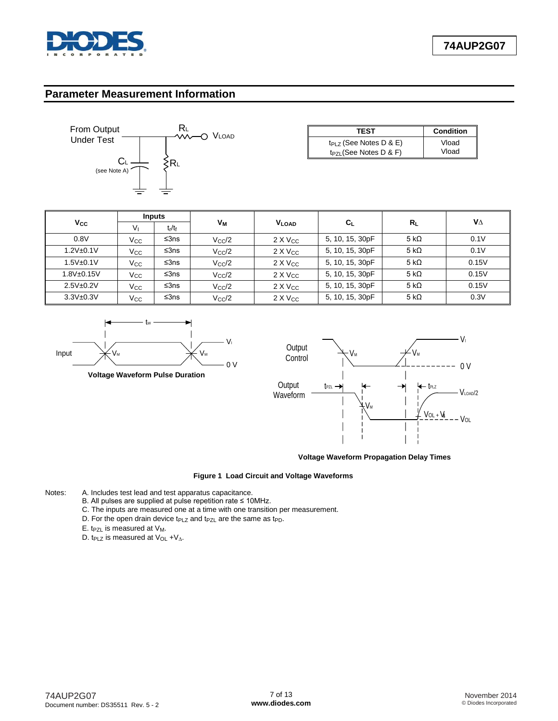

### **Parameter Measurement Information**



| <b>TEST</b>                 | <b>Condition</b> |
|-----------------------------|------------------|
| $tp_{LZ}$ (See Notes D & E) | Vload            |
| $t_{PZL}$ (See Notes D & F) | Vload            |

|                  |                | Inputs    |                |                   |                           |              | VΔ    |
|------------------|----------------|-----------|----------------|-------------------|---------------------------|--------------|-------|
| Vcc              | V <sub>1</sub> | $t_r/t_f$ | Vм             | <b>VLOAD</b>      | $\mathbf{C}_{\mathsf{L}}$ | $R_{\rm I}$  |       |
| 0.8V             | Vcc.           | ≤3ns      | $V_{\rm CC}/2$ | $2 \times V_{CC}$ | 5, 10, 15, 30pF           | 5 k $\Omega$ | 0.1V  |
| $1.2V + 0.1V$    | Vcc.           | ≤3ns      | $V_{\rm CC}/2$ | $2 \times V_{CC}$ | 5, 10, 15, 30pF           | 5 k $\Omega$ | 0.1V  |
| $1.5V_{\pm}0.1V$ | Vcc            | ≤3ns      | $V_{\rm CC}/2$ | $2 \times V_{CC}$ | 5, 10, 15, 30pF           | 5 k $\Omega$ | 0.15V |
| 1.8V±0.15V       | Vcc            | ≤3ns      | $V_{\rm CC}/2$ | $2 \times V_{CC}$ | 5, 10, 15, 30pF           | 5 k $\Omega$ | 0.15V |
| $2.5V + 0.2V$    | Vcc            | ≤3ns      | $V_{\rm CC}/2$ | $2 \times V_{CC}$ | 5, 10, 15, 30pF           | 5 k $\Omega$ | 0.15V |
| $3.3V + 0.3V$    | Vcc            | ≤3ns      | $V_{\rm CC}/2$ | $2 \times V_{CC}$ | 5, 10, 15, 30pF           | 5 k $\Omega$ | 0.3V  |



**Voltage Waveform Pulse Duration**



**Voltage Waveform Propagation Delay Times**

#### **Figure 1 Load Circuit and Voltage Waveforms**

- Notes: A. Includes test lead and test apparatus capacitance.
	- B. All pulses are supplied at pulse repetition rate ≤ 10MHz.
	- C. The inputs are measured one at a time with one transition per measurement.
	- D. For the open drain device  $t_{PLZ}$  and  $t_{PZL}$  are the same as  $t_{PD}$ .
	- E. t<sub>PZL</sub> is measured at  $V_M$ .
	- D. t<sub>PLZ</sub> is measured at V<sub>OL</sub> +V<sub>∆</sub>.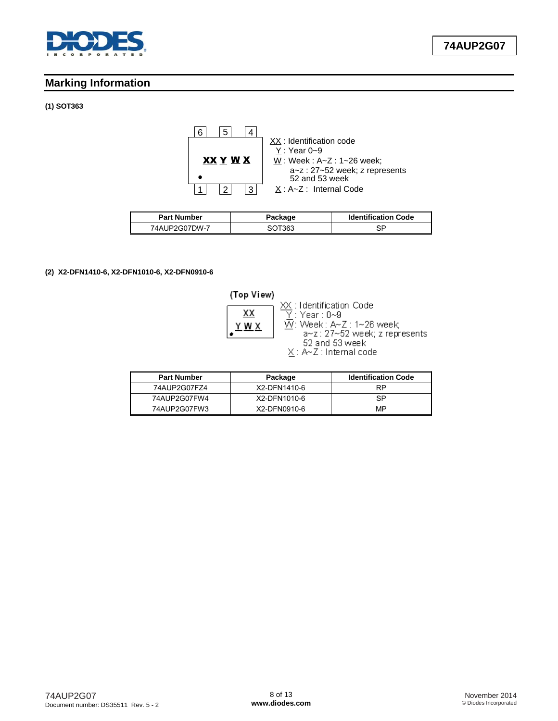

# **Marking Information**

#### **(1) SOT363**



| <b>Part Number</b> | Package | <b>Identification Code</b> |  |
|--------------------|---------|----------------------------|--|
| 74AUP2G07DW-7      | SOT363  | SP                         |  |

#### **(2) X2-DFN1410-6, X2-DFN1010-6, X2-DFN0910-6**



| <b>Part Number</b> | Package      | <b>Identification Code</b> |
|--------------------|--------------|----------------------------|
| 74AUP2G07FZ4       | X2-DFN1410-6 | <b>RP</b>                  |
| 74AUP2G07FW4       | X2-DFN1010-6 | SP                         |
| 74AUP2G07FW3       | X2-DFN0910-6 | MP                         |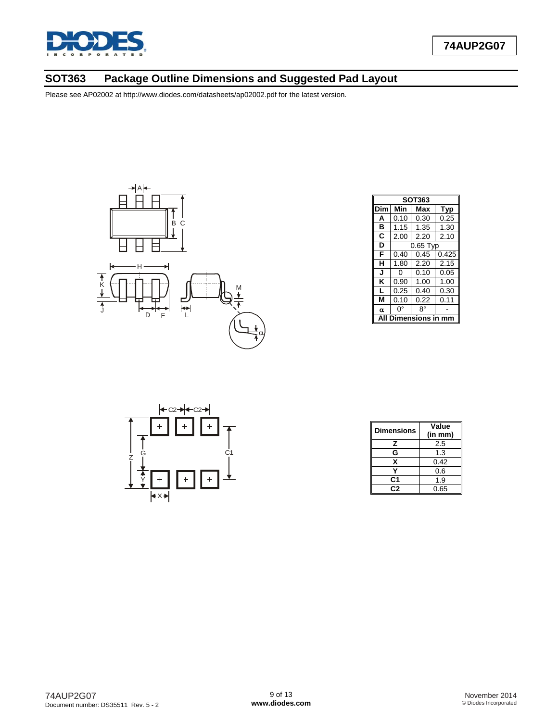

# **SOT363 Package Outline Dimensions and Suggested Pad Layout**



|     | <b>SOT363</b>              |            |       |  |  |
|-----|----------------------------|------------|-------|--|--|
| Dim | Min                        | Max        | Typ   |  |  |
| A   | 0.10                       | 0.30       | 0.25  |  |  |
| в   | 1.15                       | 1.35       | 1.30  |  |  |
| C   | 2.00                       | 2.20       | 2.10  |  |  |
| D   |                            | $0.65$ Typ |       |  |  |
| F   | 0.40                       | 0.45       | 0.425 |  |  |
| н   | 1.80                       | 2.20       | 2.15  |  |  |
| J   | 0                          | 0.10       | 0.05  |  |  |
| Κ   | 0.90                       | 1.00       | 1.00  |  |  |
| L   | 0.25                       | 0.40       | 0.30  |  |  |
| М   | 0.10                       | 0.22       | 0.11  |  |  |
| α   | ŋ۰                         | 8°         |       |  |  |
|     | <b>Dimensions in</b><br>mm |            |       |  |  |



| <b>Dimensions</b> | Value<br>(in mm) |
|-------------------|------------------|
| z                 | 2.5              |
| G                 | 1.3              |
| x                 | 0.42             |
|                   | 0.6              |
| C1                | 1.9              |
| C2                | 0.65             |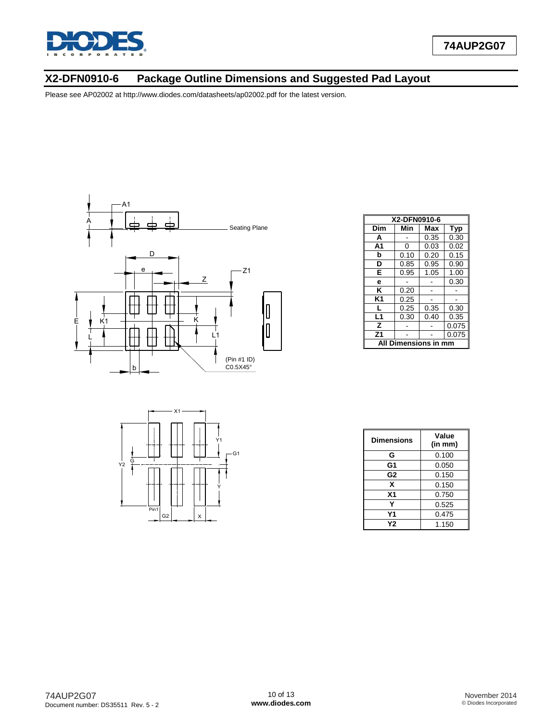

# **X2-DFN0910-6 Package Outline Dimensions and Suggested Pad Layout**



|                               |                        | $- X1$ |   |                      |
|-------------------------------|------------------------|--------|---|----------------------|
| $rac{1}{2}$<br>$\frac{1}{12}$ |                        |        |   | Y1<br>G <sub>1</sub> |
|                               |                        |        |   |                      |
|                               | Pin1<br>G <sub>2</sub> |        | х |                      |

| X2-DFN0910-6         |                          |      |       |  |  |
|----------------------|--------------------------|------|-------|--|--|
| Dim                  | Min<br>Max<br><b>Typ</b> |      |       |  |  |
| A                    |                          | 0.35 | 0.30  |  |  |
| A <sub>1</sub>       | 0                        | 0.03 | 0.02  |  |  |
| b                    | 0.10                     | 0.20 | 0.15  |  |  |
| D                    | 0.85                     | 0.95 | 0.90  |  |  |
| E                    | 0.95                     | 1.05 | 1.00  |  |  |
| e                    |                          |      | 0.30  |  |  |
| ĸ                    | 0.20                     |      |       |  |  |
| K1                   | 0.25                     |      |       |  |  |
| L                    | 0.25                     | 0.35 | 0.30  |  |  |
| L1                   | 0.30                     | 0.40 | 0.35  |  |  |
| z                    |                          |      | 0.075 |  |  |
| Z <sub>1</sub>       |                          |      | 0.075 |  |  |
| All Dimensions in mm |                          |      |       |  |  |

| Dimensions     | Value<br>(in mm) |
|----------------|------------------|
| G              | 0.100            |
| G1             | 0.050            |
| G <sub>2</sub> | 0.150            |
| X              | 0.150            |
| X <sub>1</sub> | 0.750            |
|                | 0.525            |
| Υ1             | 0.475            |
| Υ2             | 1.150            |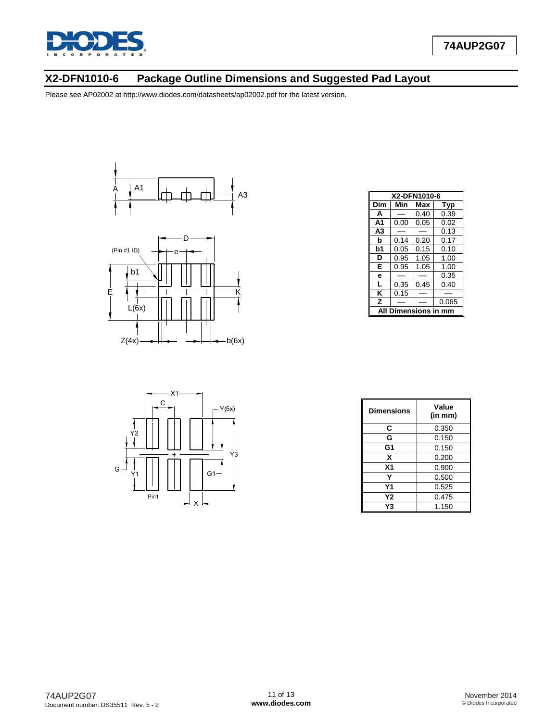

# **X2-DFN1010-6 Package Outline Dimensions and Suggested Pad Layout**





|                | X2-DFN1010-6     |      |       |  |  |
|----------------|------------------|------|-------|--|--|
| Dim            | Min              | Max  | Typ   |  |  |
| A              |                  | 0.40 | 0.39  |  |  |
| A <sub>1</sub> | 0.00             | 0.05 | 0.02  |  |  |
| A <sub>3</sub> |                  |      | 0.13  |  |  |
| b              | 0.14             | 0.20 | 0.17  |  |  |
| b1             | 0.05             | 0.15 | 0.10  |  |  |
| D              | 0.95             | 1.05 | 1.00  |  |  |
| E              | 0.95             | 1.05 | 1.00  |  |  |
| e              |                  |      | 0.35  |  |  |
| L              | 0.35             | 0.45 | 0.40  |  |  |
| κ              | 0.15             |      |       |  |  |
| z              |                  |      | 0.065 |  |  |
| ΔIΙ            | Dimensions in mm |      |       |  |  |



| <b>Dimensions</b> | Value<br>(in mm) |
|-------------------|------------------|
| С                 | 0.350            |
| G                 | 0.150            |
| G <sub>1</sub>    | 0.150            |
| x                 | 0.200            |
| X <sub>1</sub>    | 0.900            |
| Υ                 | 0.500            |
| Υ1                | 0.525            |
| Υ2                | 0.475            |
| Y3                | 1.150            |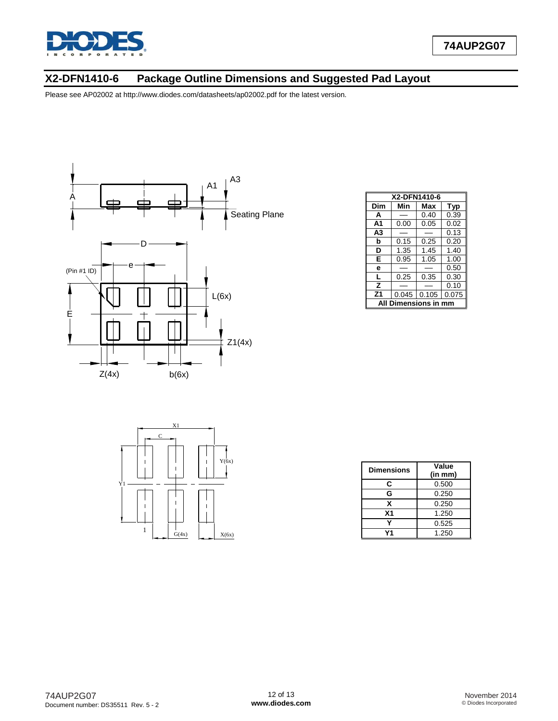

# **X2-DFN1410-6 Package Outline Dimensions and Suggested Pad Layout**



|                | X2-DFN1410-6     |       |       |  |  |  |
|----------------|------------------|-------|-------|--|--|--|
| Dim            | Min              | Max   | Typ   |  |  |  |
| A              |                  | 0.40  | 0.39  |  |  |  |
| A <sub>1</sub> | 0.00             | 0.05  | 0.02  |  |  |  |
| A3             |                  |       | 0.13  |  |  |  |
| b              | 0.15             | 0.25  | 0.20  |  |  |  |
| D              | 1.35             | 1.45  | 1.40  |  |  |  |
| Е              | 0.95             | 1.05  | 1.00  |  |  |  |
| e              |                  |       | 0.50  |  |  |  |
| L              | 0.25             | 0.35  | 0.30  |  |  |  |
| z              |                  |       | 0.10  |  |  |  |
| Z <sub>1</sub> | 0.045            | 0.105 | 0.075 |  |  |  |
|                | Dimensions in mm |       |       |  |  |  |



| <b>Dimensions</b> | Value<br>(in mm) |
|-------------------|------------------|
| C                 | 0.500            |
| G                 | 0.250            |
| x                 | 0.250            |
| X <sub>1</sub>    | 1.250            |
|                   | 0.525            |
|                   | 1.250            |